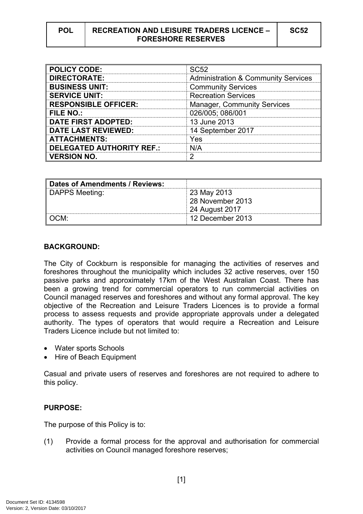| ۰.<br>×<br>۰. |
|---------------|
|---------------|

| <b>POLICY CODE:</b>              | <b>SC52</b>                                    |
|----------------------------------|------------------------------------------------|
| <b>DIRECTORATE:</b>              | <b>Administration &amp; Community Services</b> |
| <b>BUSINESS UNIT:</b>            | <b>Community Services</b>                      |
| <b>SERVICE UNIT:</b>             | <b>Recreation Services</b>                     |
| <b>RESPONSIBLE OFFICER:</b>      | <b>Manager, Community Services</b>             |
| <b>FILE NO.:</b>                 | 026/005; 086/001                               |
| <b>DATE FIRST ADOPTED:</b>       | 13 June 2013                                   |
| <b>DATE LAST REVIEWED:</b>       | 14 September 2017                              |
| <b>ATTACHMENTS:</b>              | Yes                                            |
| <b>DELEGATED AUTHORITY REF.:</b> | N/A                                            |
| <b>VERSION NO.</b>               | ◠                                              |

| Dates of Amendments / Reviews: |                  |
|--------------------------------|------------------|
| DAPPS Meeting:                 | 23 May 2013      |
|                                | 28 November 2013 |
|                                | 24 August 2017   |
| ∣ OCM:                         | 12 December 2013 |

### **BACKGROUND:**

The City of Cockburn is responsible for managing the activities of reserves and foreshores throughout the municipality which includes 32 active reserves, over 150 passive parks and approximately 17km of the West Australian Coast. There has been a growing trend for commercial operators to run commercial activities on Council managed reserves and foreshores and without any formal approval. The key objective of the Recreation and Leisure Traders Licences is to provide a formal process to assess requests and provide appropriate approvals under a delegated authority. The types of operators that would require a Recreation and Leisure Traders Licence include but not limited to:

- Water sports Schools
- Hire of Beach Equipment

Casual and private users of reserves and foreshores are not required to adhere to this policy.

## **PURPOSE:**

The purpose of this Policy is to:

(1) Provide a formal process for the approval and authorisation for commercial activities on Council managed foreshore reserves;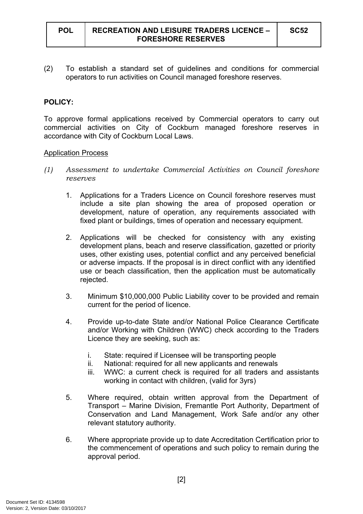(2) To establish a standard set of guidelines and conditions for commercial operators to run activities on Council managed foreshore reserves.

## **POLICY:**

To approve formal applications received by Commercial operators to carry out commercial activities on City of Cockburn managed foreshore reserves in accordance with City of Cockburn Local Laws.

#### Application Process

- *(1) Assessment to undertake Commercial Activities on Council foreshore reserves*
	- 1. Applications for a Traders Licence on Council foreshore reserves must include a site plan showing the area of proposed operation or development, nature of operation, any requirements associated with fixed plant or buildings, times of operation and necessary equipment.
	- 2. Applications will be checked for consistency with any existing development plans, beach and reserve classification, gazetted or priority uses, other existing uses, potential conflict and any perceived beneficial or adverse impacts. If the proposal is in direct conflict with any identified use or beach classification, then the application must be automatically rejected.
	- 3. Minimum \$10,000,000 Public Liability cover to be provided and remain current for the period of licence.
	- 4. Provide up-to-date State and/or National Police Clearance Certificate and/or Working with Children (WWC) check according to the Traders Licence they are seeking, such as:
		- i. State: required if Licensee will be transporting people
		- ii. National: required for all new applicants and renewals
		- iii. WWC: a current check is required for all traders and assistants working in contact with children, (valid for 3yrs)
	- 5. Where required, obtain written approval from the Department of Transport – Marine Division, Fremantle Port Authority, Department of Conservation and Land Management, Work Safe and/or any other relevant statutory authority.
	- 6. Where appropriate provide up to date Accreditation Certification prior to the commencement of operations and such policy to remain during the approval period.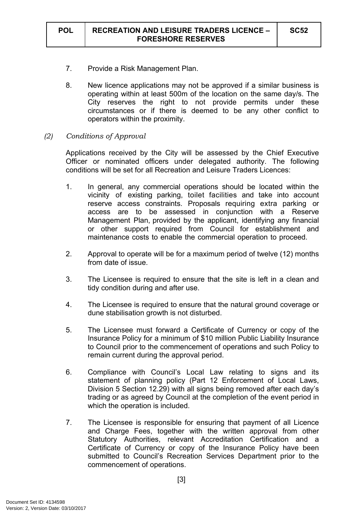- 7. Provide a Risk Management Plan.
- 8. New licence applications may not be approved if a similar business is operating within at least 500m of the location on the same day/s. The City reserves the right to not provide permits under these circumstances or if there is deemed to be any other conflict to operators within the proximity.
- *(2) Conditions of Approval*

Applications received by the City will be assessed by the Chief Executive Officer or nominated officers under delegated authority. The following conditions will be set for all Recreation and Leisure Traders Licences:

- 1. In general, any commercial operations should be located within the vicinity of existing parking, toilet facilities and take into account reserve access constraints. Proposals requiring extra parking or access are to be assessed in conjunction with a Reserve Management Plan, provided by the applicant, identifying any financial or other support required from Council for establishment and maintenance costs to enable the commercial operation to proceed.
- 2. Approval to operate will be for a maximum period of twelve (12) months from date of issue.
- 3. The Licensee is required to ensure that the site is left in a clean and tidy condition during and after use.
- 4. The Licensee is required to ensure that the natural ground coverage or dune stabilisation growth is not disturbed.
- 5. The Licensee must forward a Certificate of Currency or copy of the Insurance Policy for a minimum of \$10 million Public Liability Insurance to Council prior to the commencement of operations and such Policy to remain current during the approval period.
- 6. Compliance with Council's Local Law relating to signs and its statement of planning policy (Part 12 Enforcement of Local Laws, Division 5 Section 12.29) with all signs being removed after each day's trading or as agreed by Council at the completion of the event period in which the operation is included.
- 7. The Licensee is responsible for ensuring that payment of all Licence and Charge Fees, together with the written approval from other Statutory Authorities, relevant Accreditation Certification and a Certificate of Currency or copy of the Insurance Policy have been submitted to Council's Recreation Services Department prior to the commencement of operations.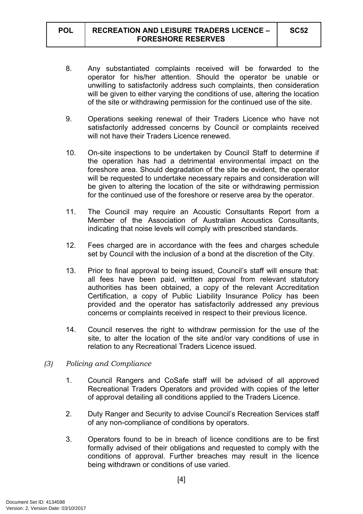- 8. Any substantiated complaints received will be forwarded to the operator for his/her attention. Should the operator be unable or unwilling to satisfactorily address such complaints, then consideration will be given to either varying the conditions of use, altering the location of the site or withdrawing permission for the continued use of the site.
- 9. Operations seeking renewal of their Traders Licence who have not satisfactorily addressed concerns by Council or complaints received will not have their Traders Licence renewed.
- 10. On-site inspections to be undertaken by Council Staff to determine if the operation has had a detrimental environmental impact on the foreshore area. Should degradation of the site be evident, the operator will be requested to undertake necessary repairs and consideration will be given to altering the location of the site or withdrawing permission for the continued use of the foreshore or reserve area by the operator.
- 11. The Council may require an Acoustic Consultants Report from a Member of the Association of Australian Acoustics Consultants, indicating that noise levels will comply with prescribed standards.
- 12. Fees charged are in accordance with the fees and charges schedule set by Council with the inclusion of a bond at the discretion of the City.
- 13. Prior to final approval to being issued, Council's staff will ensure that: all fees have been paid, written approval from relevant statutory authorities has been obtained, a copy of the relevant Accreditation Certification, a copy of Public Liability Insurance Policy has been provided and the operator has satisfactorily addressed any previous concerns or complaints received in respect to their previous licence.
- 14. Council reserves the right to withdraw permission for the use of the site, to alter the location of the site and/or vary conditions of use in relation to any Recreational Traders Licence issued.
- *(3) Policing and Compliance*
	- 1. Council Rangers and CoSafe staff will be advised of all approved Recreational Traders Operators and provided with copies of the letter of approval detailing all conditions applied to the Traders Licence.
	- 2. Duty Ranger and Security to advise Council's Recreation Services staff of any non-compliance of conditions by operators.
	- 3. Operators found to be in breach of licence conditions are to be first formally advised of their obligations and requested to comply with the conditions of approval. Further breaches may result in the licence being withdrawn or conditions of use varied.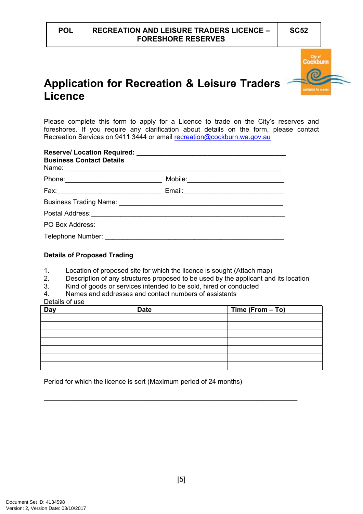

# **Application for Recreation & Leisure Traders Licence**

Please complete this form to apply for a Licence to trade on the City's reserves and foreshores. If you require any clarification about details on the form, please contact Recreation Services on 9411 3444 or email [recreation@cockburn.wa.gov.au](mailto:recreation@cockburn.wa.gov.au)

| <b>Business Contact Details</b>                                                                                                                                                                                                |                                           |
|--------------------------------------------------------------------------------------------------------------------------------------------------------------------------------------------------------------------------------|-------------------------------------------|
|                                                                                                                                                                                                                                | Mobile: _________________________________ |
|                                                                                                                                                                                                                                |                                           |
|                                                                                                                                                                                                                                |                                           |
|                                                                                                                                                                                                                                |                                           |
|                                                                                                                                                                                                                                |                                           |
| Telephone Number: National Property of the Contract of the Contract of the Contract of the Contract of the Contract of the Contract of the Contract of the Contract of the Contract of the Contract of the Contract of the Con |                                           |

### **Details of Proposed Trading**

- 1. Location of proposed site for which the licence is sought (Attach map)
- 2. Description of any structures proposed to be used by the applicant and its location
- 3. Kind of goods or services intended to be sold, hired or conducted
- 4. Names and addresses and contact numbers of assistants
- Details of use

| Day | <b>Date</b> | Time (From - To) |
|-----|-------------|------------------|
|     |             |                  |
|     |             |                  |
|     |             |                  |
|     |             |                  |
|     |             |                  |
|     |             |                  |
|     |             |                  |

\_\_\_\_\_\_\_\_\_\_\_\_\_\_\_\_\_\_\_\_\_\_\_\_\_\_\_\_\_\_\_\_\_\_\_\_\_\_\_\_\_\_\_\_\_\_\_\_\_\_\_\_\_\_\_\_\_\_\_\_\_\_\_\_\_\_\_\_

Period for which the licence is sort (Maximum period of 24 months)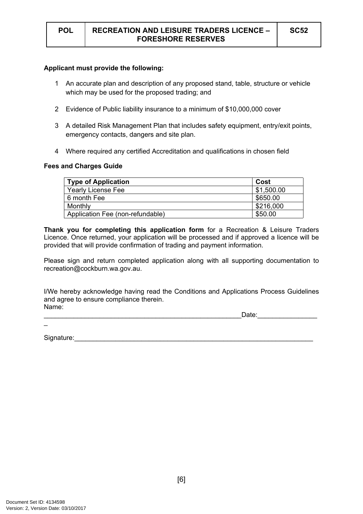#### **Applicant must provide the following:**

- 1 An accurate plan and description of any proposed stand, table, structure or vehicle which may be used for the proposed trading; and
- 2 Evidence of Public liability insurance to a minimum of \$10,000,000 cover
- 3 A detailed Risk Management Plan that includes safety equipment, entry/exit points, emergency contacts, dangers and site plan.
- 4 Where required any certified Accreditation and qualifications in chosen field

#### **Fees and Charges Guide**

| <b>Type of Application</b>       | Cost       |
|----------------------------------|------------|
| <b>Yearly License Fee</b>        | \$1,500.00 |
| 6 month Fee                      | \$650.00   |
| Monthly                          | \$216,000  |
| Application Fee (non-refundable) | \$50.00    |

**Thank you for completing this application form** for a Recreation & Leisure Traders Licence. Once returned, your application will be processed and if approved a licence will be provided that will provide confirmation of trading and payment information.

Please sign and return completed application along with all supporting documentation to recreation@cockburn.wa.gov.au.

I/We hereby acknowledge having read the Conditions and Applications Process Guidelines and agree to ensure compliance therein. Name:

| -<br>Date: |  |
|------------|--|
|            |  |

Signature: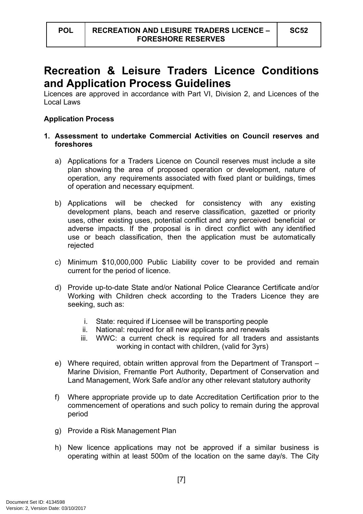# **Recreation & Leisure Traders Licence Conditions and Application Process Guidelines**

Licences are approved in accordance with Part VI, Division 2, and Licences of the Local Laws

## **Application Process**

## **1. Assessment to undertake Commercial Activities on Council reserves and foreshores**

- a) Applications for a Traders Licence on Council reserves must include a site plan showing the area of proposed operation or development, nature of operation, any requirements associated with fixed plant or buildings, times of operation and necessary equipment.
- b) Applications will be checked for consistency with any existing development plans, beach and reserve classification, gazetted or priority uses, other existing uses, potential conflict and any perceived beneficial or adverse impacts. If the proposal is in direct conflict with any identified use or beach classification, then the application must be automatically rejected
- c) Minimum \$10,000,000 Public Liability cover to be provided and remain current for the period of licence.
- d) Provide up-to-date State and/or National Police Clearance Certificate and/or Working with Children check according to the Traders Licence they are seeking, such as:
	- i. State: required if Licensee will be transporting people
	- ii. National: required for all new applicants and renewals
	- iii. WWC: a current check is required for all traders and assistants working in contact with children, (valid for 3yrs)
- e) Where required, obtain written approval from the Department of Transport Marine Division, Fremantle Port Authority, Department of Conservation and Land Management, Work Safe and/or any other relevant statutory authority
- f) Where appropriate provide up to date Accreditation Certification prior to the commencement of operations and such policy to remain during the approval period
- g) Provide a Risk Management Plan
- h) New licence applications may not be approved if a similar business is operating within at least 500m of the location on the same day/s. The City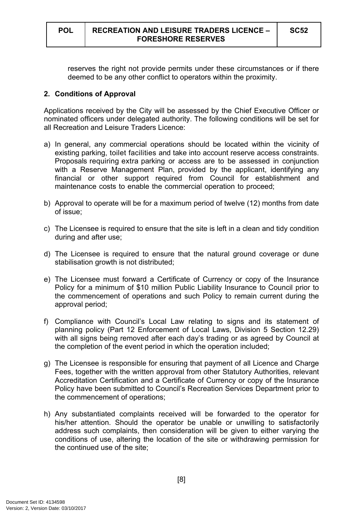reserves the right not provide permits under these circumstances or if there deemed to be any other conflict to operators within the proximity.

# **2. Conditions of Approval**

Applications received by the City will be assessed by the Chief Executive Officer or nominated officers under delegated authority. The following conditions will be set for all Recreation and Leisure Traders Licence:

- a) In general, any commercial operations should be located within the vicinity of existing parking, toilet facilities and take into account reserve access constraints. Proposals requiring extra parking or access are to be assessed in conjunction with a Reserve Management Plan, provided by the applicant, identifying any financial or other support required from Council for establishment and maintenance costs to enable the commercial operation to proceed;
- b) Approval to operate will be for a maximum period of twelve (12) months from date of issue;
- c) The Licensee is required to ensure that the site is left in a clean and tidy condition during and after use;
- d) The Licensee is required to ensure that the natural ground coverage or dune stabilisation growth is not distributed;
- e) The Licensee must forward a Certificate of Currency or copy of the Insurance Policy for a minimum of \$10 million Public Liability Insurance to Council prior to the commencement of operations and such Policy to remain current during the approval period;
- f) Compliance with Council's Local Law relating to signs and its statement of planning policy (Part 12 Enforcement of Local Laws, Division 5 Section 12.29) with all signs being removed after each day's trading or as agreed by Council at the completion of the event period in which the operation included;
- g) The Licensee is responsible for ensuring that payment of all Licence and Charge Fees, together with the written approval from other Statutory Authorities, relevant Accreditation Certification and a Certificate of Currency or copy of the Insurance Policy have been submitted to Council's Recreation Services Department prior to the commencement of operations;
- h) Any substantiated complaints received will be forwarded to the operator for his/her attention. Should the operator be unable or unwilling to satisfactorily address such complaints, then consideration will be given to either varying the conditions of use, altering the location of the site or withdrawing permission for the continued use of the site;